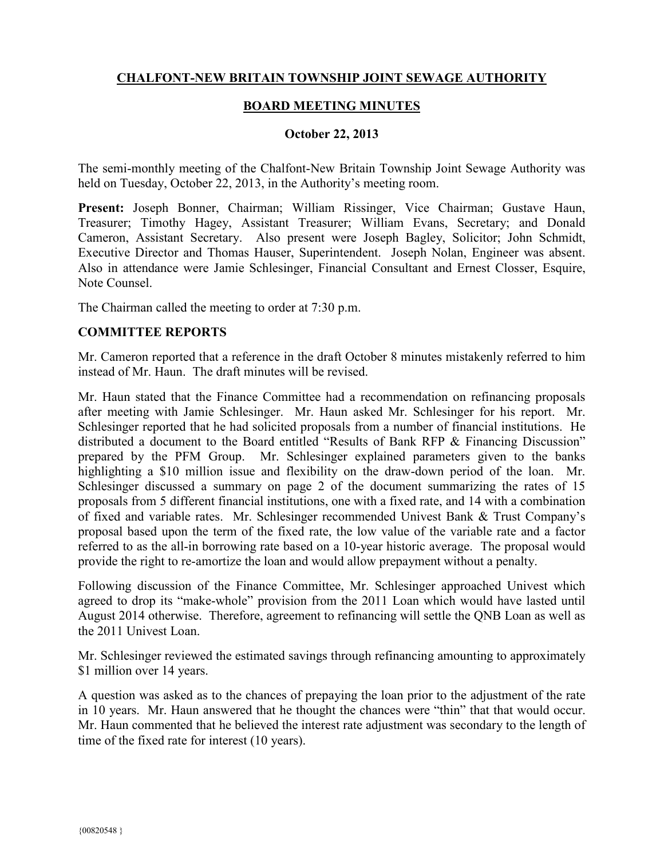# **CHALFONT-NEW BRITAIN TOWNSHIP JOINT SEWAGE AUTHORITY**

### **BOARD MEETING MINUTES**

#### **October 22, 2013**

The semi-monthly meeting of the Chalfont-New Britain Township Joint Sewage Authority was held on Tuesday, October 22, 2013, in the Authority's meeting room.

**Present:** Joseph Bonner, Chairman; William Rissinger, Vice Chairman; Gustave Haun, Treasurer; Timothy Hagey, Assistant Treasurer; William Evans, Secretary; and Donald Cameron, Assistant Secretary. Also present were Joseph Bagley, Solicitor; John Schmidt, Executive Director and Thomas Hauser, Superintendent. Joseph Nolan, Engineer was absent. Also in attendance were Jamie Schlesinger, Financial Consultant and Ernest Closser, Esquire, Note Counsel.

The Chairman called the meeting to order at 7:30 p.m.

### **COMMITTEE REPORTS**

Mr. Cameron reported that a reference in the draft October 8 minutes mistakenly referred to him instead of Mr. Haun. The draft minutes will be revised.

Mr. Haun stated that the Finance Committee had a recommendation on refinancing proposals after meeting with Jamie Schlesinger. Mr. Haun asked Mr. Schlesinger for his report. Mr. Schlesinger reported that he had solicited proposals from a number of financial institutions. He distributed a document to the Board entitled "Results of Bank RFP & Financing Discussion" prepared by the PFM Group. Mr. Schlesinger explained parameters given to the banks highlighting a \$10 million issue and flexibility on the draw-down period of the loan. Mr. Schlesinger discussed a summary on page 2 of the document summarizing the rates of 15 proposals from 5 different financial institutions, one with a fixed rate, and 14 with a combination of fixed and variable rates. Mr. Schlesinger recommended Univest Bank & Trust Company's proposal based upon the term of the fixed rate, the low value of the variable rate and a factor referred to as the all-in borrowing rate based on a 10-year historic average. The proposal would provide the right to re-amortize the loan and would allow prepayment without a penalty.

Following discussion of the Finance Committee, Mr. Schlesinger approached Univest which agreed to drop its "make-whole" provision from the 2011 Loan which would have lasted until August 2014 otherwise. Therefore, agreement to refinancing will settle the QNB Loan as well as the 2011 Univest Loan.

Mr. Schlesinger reviewed the estimated savings through refinancing amounting to approximately \$1 million over 14 years.

A question was asked as to the chances of prepaying the loan prior to the adjustment of the rate in 10 years. Mr. Haun answered that he thought the chances were "thin" that that would occur. Mr. Haun commented that he believed the interest rate adjustment was secondary to the length of time of the fixed rate for interest (10 years).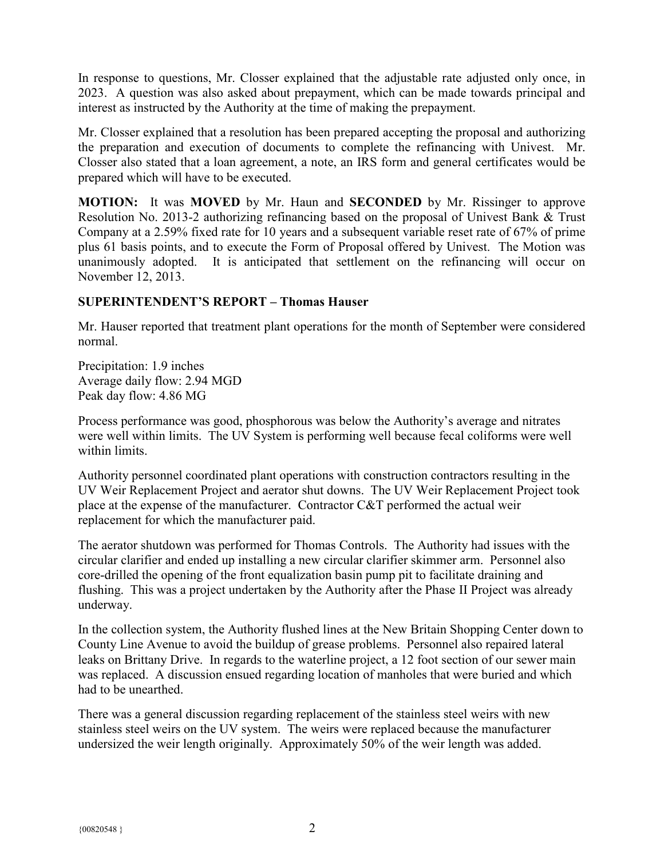In response to questions, Mr. Closser explained that the adjustable rate adjusted only once, in 2023. A question was also asked about prepayment, which can be made towards principal and interest as instructed by the Authority at the time of making the prepayment.

Mr. Closser explained that a resolution has been prepared accepting the proposal and authorizing the preparation and execution of documents to complete the refinancing with Univest. Mr. Closser also stated that a loan agreement, a note, an IRS form and general certificates would be prepared which will have to be executed.

**MOTION:** It was **MOVED** by Mr. Haun and **SECONDED** by Mr. Rissinger to approve Resolution No. 2013-2 authorizing refinancing based on the proposal of Univest Bank & Trust Company at a 2.59% fixed rate for 10 years and a subsequent variable reset rate of 67% of prime plus 61 basis points, and to execute the Form of Proposal offered by Univest. The Motion was unanimously adopted. It is anticipated that settlement on the refinancing will occur on November 12, 2013.

# **SUPERINTENDENT'S REPORT – Thomas Hauser**

Mr. Hauser reported that treatment plant operations for the month of September were considered normal.

Precipitation: 1.9 inches Average daily flow: 2.94 MGD Peak day flow: 4.86 MG

Process performance was good, phosphorous was below the Authority's average and nitrates were well within limits. The UV System is performing well because fecal coliforms were well within limits.

Authority personnel coordinated plant operations with construction contractors resulting in the UV Weir Replacement Project and aerator shut downs. The UV Weir Replacement Project took place at the expense of the manufacturer. Contractor C&T performed the actual weir replacement for which the manufacturer paid.

The aerator shutdown was performed for Thomas Controls. The Authority had issues with the circular clarifier and ended up installing a new circular clarifier skimmer arm. Personnel also core-drilled the opening of the front equalization basin pump pit to facilitate draining and flushing. This was a project undertaken by the Authority after the Phase II Project was already underway.

In the collection system, the Authority flushed lines at the New Britain Shopping Center down to County Line Avenue to avoid the buildup of grease problems. Personnel also repaired lateral leaks on Brittany Drive. In regards to the waterline project, a 12 foot section of our sewer main was replaced. A discussion ensued regarding location of manholes that were buried and which had to be unearthed.

There was a general discussion regarding replacement of the stainless steel weirs with new stainless steel weirs on the UV system. The weirs were replaced because the manufacturer undersized the weir length originally. Approximately 50% of the weir length was added.